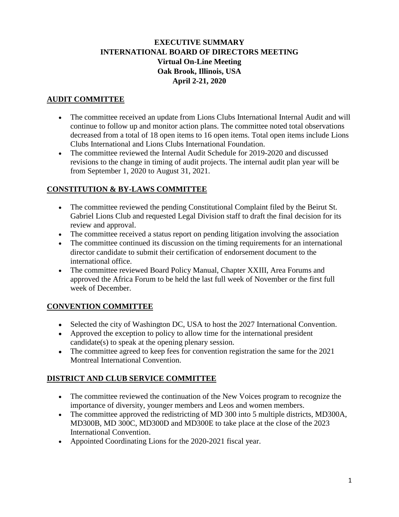## **EXECUTIVE SUMMARY INTERNATIONAL BOARD OF DIRECTORS MEETING Virtual On-Line Meeting Oak Brook, Illinois, USA April 2-21, 2020**

#### **AUDIT COMMITTEE**

- The committee received an update from Lions Clubs International Internal Audit and will continue to follow up and monitor action plans. The committee noted total observations decreased from a total of 18 open items to 16 open items. Total open items include Lions Clubs International and Lions Clubs International Foundation.
- The committee reviewed the Internal Audit Schedule for 2019-2020 and discussed revisions to the change in timing of audit projects. The internal audit plan year will be from September 1, 2020 to August 31, 2021.

## **CONSTITUTION & BY-LAWS COMMITTEE**

- The committee reviewed the pending Constitutional Complaint filed by the Beirut St. Gabriel Lions Club and requested Legal Division staff to draft the final decision for its review and approval.
- The committee received a status report on pending litigation involving the association
- The committee continued its discussion on the timing requirements for an international director candidate to submit their certification of endorsement document to the international office.
- The committee reviewed Board Policy Manual, Chapter XXIII, Area Forums and approved the Africa Forum to be held the last full week of November or the first full week of December.

## **CONVENTION COMMITTEE**

- Selected the city of Washington DC, USA to host the 2027 International Convention.
- Approved the exception to policy to allow time for the international president candidate(s) to speak at the opening plenary session.
- The committee agreed to keep fees for convention registration the same for the 2021 Montreal International Convention.

## **DISTRICT AND CLUB SERVICE COMMITTEE**

- The committee reviewed the continuation of the New Voices program to recognize the importance of diversity, younger members and Leos and women members.
- The committee approved the redistricting of MD 300 into 5 multiple districts, MD300A, MD300B, MD 300C, MD300D and MD300E to take place at the close of the 2023 International Convention.
- Appointed Coordinating Lions for the 2020-2021 fiscal year.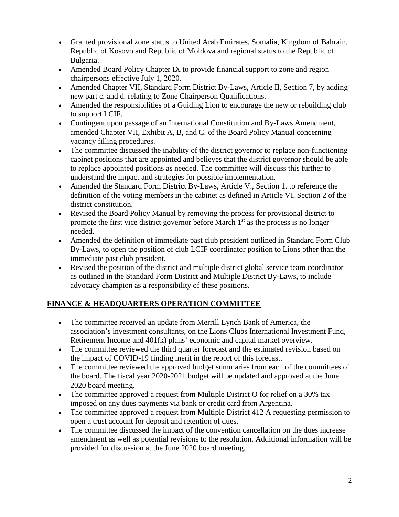- Granted provisional zone status to United Arab Emirates, Somalia, Kingdom of Bahrain, Republic of Kosovo and Republic of Moldova and regional status to the Republic of Bulgaria.
- Amended Board Policy Chapter IX to provide financial support to zone and region chairpersons effective July 1, 2020.
- Amended Chapter VII, Standard Form District By-Laws, Article II, Section 7, by adding new part c. and d. relating to Zone Chairperson Qualifications.
- Amended the responsibilities of a Guiding Lion to encourage the new or rebuilding club to support LCIF.
- Contingent upon passage of an International Constitution and By-Laws Amendment, amended Chapter VII, Exhibit A, B, and C. of the Board Policy Manual concerning vacancy filling procedures.
- The committee discussed the inability of the district governor to replace non-functioning cabinet positions that are appointed and believes that the district governor should be able to replace appointed positions as needed. The committee will discuss this further to understand the impact and strategies for possible implementation.
- Amended the Standard Form District By-Laws, Article V., Section 1. to reference the definition of the voting members in the cabinet as defined in Article VI, Section 2 of the district constitution.
- Revised the Board Policy Manual by removing the process for provisional district to promote the first vice district governor before March 1<sup>st</sup> as the process is no longer needed.
- Amended the definition of immediate past club president outlined in Standard Form Club By-Laws, to open the position of club LCIF coordinator position to Lions other than the immediate past club president.
- Revised the position of the district and multiple district global service team coordinator as outlined in the Standard Form District and Multiple District By-Laws, to include advocacy champion as a responsibility of these positions.

# **FINANCE & HEADQUARTERS OPERATION COMMITTEE**

- The committee received an update from Merrill Lynch Bank of America, the association's investment consultants, on the Lions Clubs International Investment Fund, Retirement Income and 401(k) plans' economic and capital market overview.
- The committee reviewed the third quarter forecast and the estimated revision based on the impact of COVID-19 finding merit in the report of this forecast.
- The committee reviewed the approved budget summaries from each of the committees of the board. The fiscal year 2020-2021 budget will be updated and approved at the June 2020 board meeting.
- The committee approved a request from Multiple District O for relief on a 30% tax imposed on any dues payments via bank or credit card from Argentina.
- The committee approved a request from Multiple District 412 A requesting permission to open a trust account for deposit and retention of dues.
- The committee discussed the impact of the convention cancellation on the dues increase amendment as well as potential revisions to the resolution. Additional information will be provided for discussion at the June 2020 board meeting.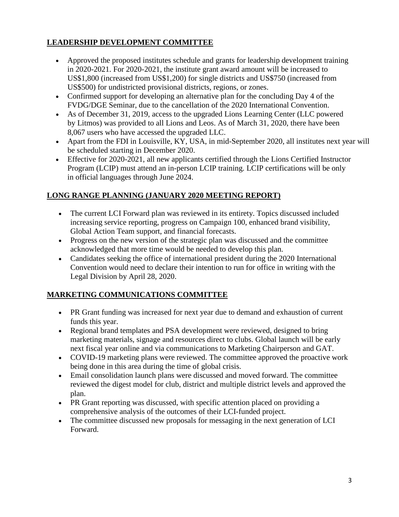## **LEADERSHIP DEVELOPMENT COMMITTEE**

- Approved the proposed institutes schedule and grants for leadership development training in 2020-2021. For 2020-2021, the institute grant award amount will be increased to US\$1,800 (increased from US\$1,200) for single districts and US\$750 (increased from US\$500) for undistricted provisional districts, regions, or zones.
- Confirmed support for developing an alternative plan for the concluding Day 4 of the FVDG/DGE Seminar, due to the cancellation of the 2020 International Convention.
- As of December 31, 2019, access to the upgraded Lions Learning Center (LLC powered by Litmos) was provided to all Lions and Leos. As of March 31, 2020, there have been 8,067 users who have accessed the upgraded LLC.
- Apart from the FDI in Louisville, KY, USA, in mid-September 2020, all institutes next year will be scheduled starting in December 2020.
- Effective for 2020-2021, all new applicants certified through the Lions Certified Instructor Program (LCIP) must attend an in-person LCIP training. LCIP certifications will be only in official languages through June 2024.

# **LONG RANGE PLANNING (JANUARY 2020 MEETING REPORT)**

- The current LCI Forward plan was reviewed in its entirety. Topics discussed included increasing service reporting, progress on Campaign 100, enhanced brand visibility, Global Action Team support, and financial forecasts.
- Progress on the new version of the strategic plan was discussed and the committee acknowledged that more time would be needed to develop this plan.
- Candidates seeking the office of international president during the 2020 International Convention would need to declare their intention to run for office in writing with the Legal Division by April 28, 2020.

## **MARKETING COMMUNICATIONS COMMITTEE**

- PR Grant funding was increased for next year due to demand and exhaustion of current funds this year.
- Regional brand templates and PSA development were reviewed, designed to bring marketing materials, signage and resources direct to clubs. Global launch will be early next fiscal year online and via communications to Marketing Chairperson and GAT.
- COVID-19 marketing plans were reviewed. The committee approved the proactive work being done in this area during the time of global crisis.
- Email consolidation launch plans were discussed and moved forward. The committee reviewed the digest model for club, district and multiple district levels and approved the plan.
- PR Grant reporting was discussed, with specific attention placed on providing a comprehensive analysis of the outcomes of their LCI-funded project.
- The committee discussed new proposals for messaging in the next generation of LCI Forward.